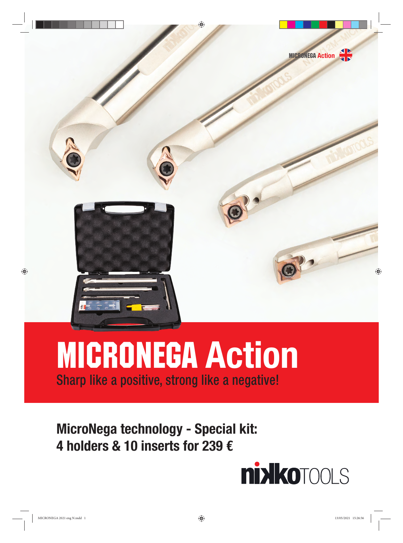

# Sharp like a positive, strong like a negative! MICRONEGA **Action**

# **MicroNega technology - Special kit: 4 holders & 10 inserts for 239 €**

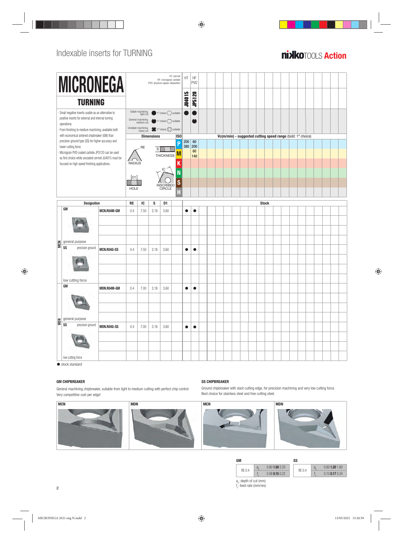## **Anixiko**tool S **Action**



 $\bullet$  stock standard

## **GM CHIPBREAKER SS CHIPBREAKER**

General machining chipbreaker, suitable from light to medium cutting with perfect chip control. Very competitive cost per edge!



Ground chipbreaker with slant cutting edge, for precision machining and very low cutting force. Best choice for stainless steel and free cutting steel.



| GM                                    |   |                  | SS     |   |                  |
|---------------------------------------|---|------------------|--------|---|------------------|
|                                       | a | $0.80$ 1.50 2.20 |        | a | $0.60$ 1.20 1.80 |
| RF 0.4                                |   | $0.08$ 0.15 0.22 | RF 0.4 |   | $0.10$ 0.17 0.24 |
| $-1 - 1 - 11 - 1 - 1 - 1 - 1 - 1 - 1$ |   |                  |        |   |                  |

a<sub>p</sub>: depth of cut (mm) f n : feed rate (mm/rev)



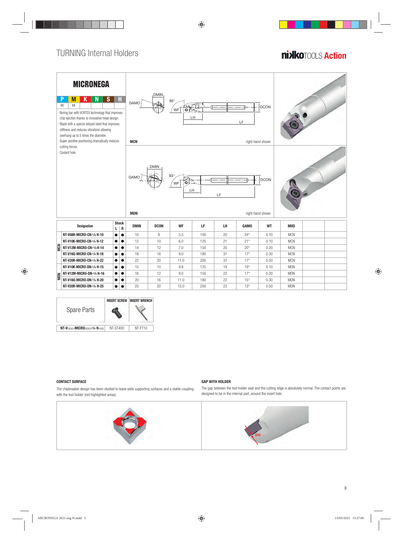## **Anixiko**tool S **Action**





The chipbreaker design has been studied to leave wide supporting surfaces and a stable coupling with the tool holder (red highlighted areas).



The gap between the tool holder seat and the cutting edge is absolutely normal. The contact points are designed to be in the internal part, around the insert hole.